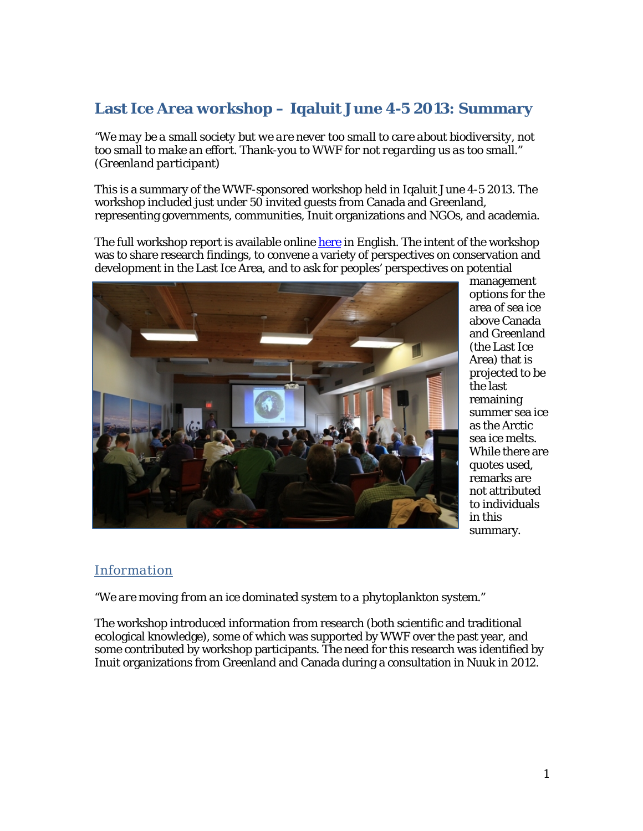# **Last Ice Area workshop – Iqaluit June 4-5 2013: Summary**

*"We may be a small society but we are never too small to care about biodiversity, not too small to make an effort. Thank-you to WWF for not regarding us as too small." (Greenland participant)*

This is a summary of the WWF-sponsored workshop held in Iqaluit June 4-5 2013. The workshop included just under 50 invited guests from Canada and Greenland, representing governments, communities, Inuit organizations and NGOs, and academia.

The full workshop report is available online [here](http://wwf.panda.org/what_we_do/where_we_work/arctic/last_ice_area/lia2013.cfm) in English. The intent of the workshop was to share research findings, to convene a variety of perspectives on conservation and development in the Last Ice Area, and to ask for peoples' perspectives on potential



management options for the area of sea ice above Canada and Greenland (the Last Ice Area) that is projected to be the last remaining summer sea ice as the Arctic sea ice melts. While there are quotes used, remarks are not attributed to individuals in this summary.

### *Information*

*"We are moving from an ice dominated system to a phytoplankton system."*

The workshop introduced information from research (both scientific and traditional ecological knowledge), some of which was supported by WWF over the past year, and some contributed by workshop participants. The need for this research was identified by Inuit organizations from Greenland and Canada during a consultation in Nuuk in 2012.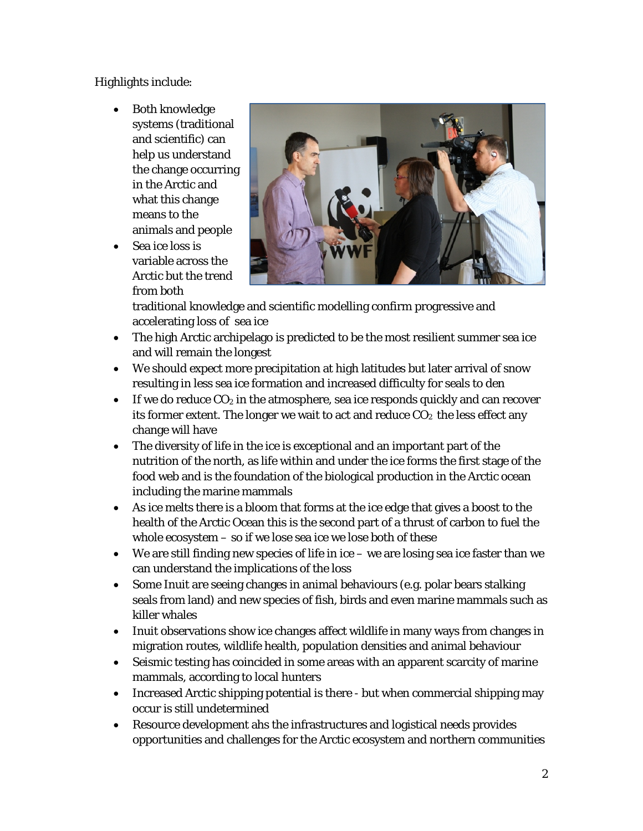Highlights include:

- Both knowledge systems (traditional and scientific) can help us understand the change occurring in the Arctic and what this change means to the animals and people
- Sea ice loss is variable across the Arctic but the trend from both



traditional knowledge and scientific modelling confirm progressive and accelerating loss of sea ice

- The high Arctic archipelago is predicted to be the most resilient summer sea ice and will remain the longest
- We should expect more precipitation at high latitudes but later arrival of snow resulting in less sea ice formation and increased difficulty for seals to den
- If we do reduce  $CO<sub>2</sub>$  in the atmosphere, sea ice responds quickly and can recover its former extent. The longer we wait to act and reduce  $CO<sub>2</sub>$  the less effect any change will have
- The diversity of life in the ice is exceptional and an important part of the nutrition of the north, as life within and under the ice forms the first stage of the food web and is the foundation of the biological production in the Arctic ocean including the marine mammals
- As ice melts there is a bloom that forms at the ice edge that gives a boost to the health of the Arctic Ocean this is the second part of a thrust of carbon to fuel the whole ecosystem – so if we lose sea ice we lose both of these
- We are still finding new species of life in ice we are losing sea ice faster than we can understand the implications of the loss
- Some Inuit are seeing changes in animal behaviours (e.g. polar bears stalking seals from land) and new species of fish, birds and even marine mammals such as killer whales
- Inuit observations show ice changes affect wildlife in many ways from changes in migration routes, wildlife health, population densities and animal behaviour
- Seismic testing has coincided in some areas with an apparent scarcity of marine mammals, according to local hunters
- Increased Arctic shipping potential is there but when commercial shipping may occur is still undetermined
- Resource development ahs the infrastructures and logistical needs provides opportunities and challenges for the Arctic ecosystem and northern communities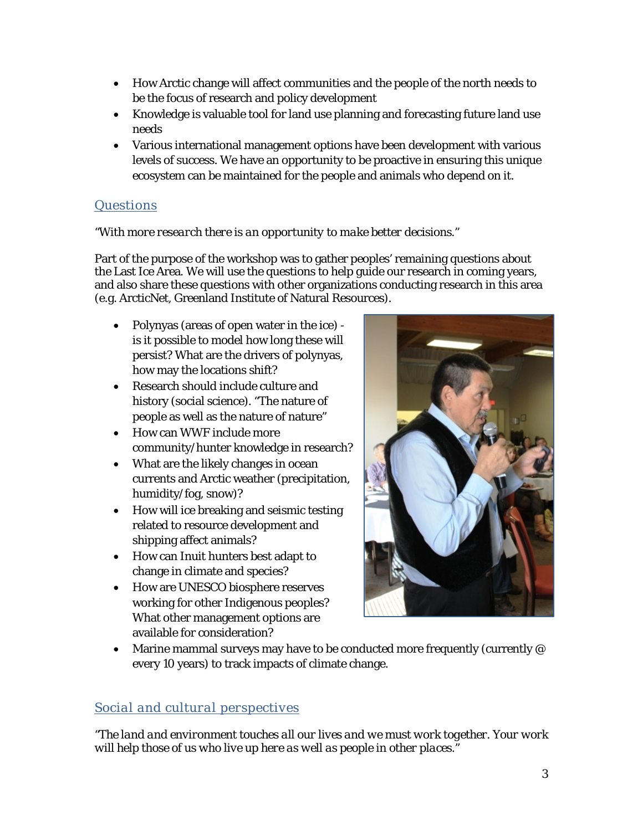- How Arctic change will affect communities and the people of the north needs to be the focus of research and policy development
- Knowledge is valuable tool for land use planning and forecasting future land use needs
- Various international management options have been development with various levels of success. We have an opportunity to be proactive in ensuring this unique ecosystem can be maintained for the people and animals who depend on it.

## *Questions*

### *"With more research there is an opportunity to make better decisions."*

Part of the purpose of the workshop was to gather peoples' remaining questions about the Last Ice Area. We will use the questions to help guide our research in coming years, and also share these questions with other organizations conducting research in this area (e.g. ArcticNet, Greenland Institute of Natural Resources).

- Polynyas (areas of open water in the ice) is it possible to model how long these will persist? What are the drivers of polynyas, how may the locations shift?
- Research should include culture and history (social science). "The nature of people as well as the nature of nature"
- How can WWF include more community/hunter knowledge in research?
- What are the likely changes in ocean currents and Arctic weather (precipitation, humidity/fog, snow)?
- How will ice breaking and seismic testing related to resource development and shipping affect animals?
- How can Inuit hunters best adapt to change in climate and species?
- How are UNESCO biosphere reserves working for other Indigenous peoples? What other management options are available for consideration?



• Marine mammal surveys may have to be conducted more frequently (currently @ every 10 years) to track impacts of climate change.

## *Social and cultural perspectives*

*"The land and environment touches all our lives and we must work together. Your work will help those of us who live up here as well as people in other places."*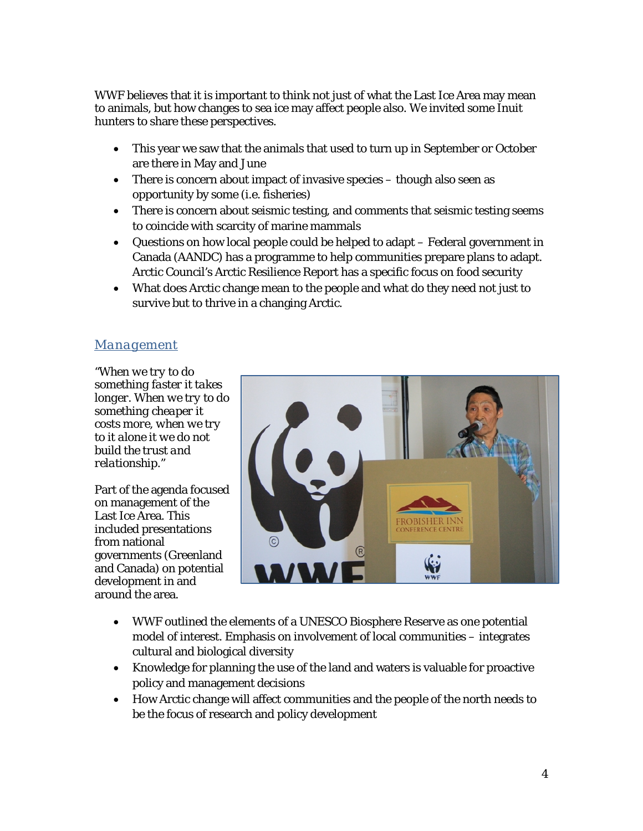WWF believes that it is important to think not just of what the Last Ice Area may mean to animals, but how changes to sea ice may affect people also. We invited some Inuit hunters to share these perspectives.

- This year we saw that the animals that used to turn up in September or October are there in May and June
- There is concern about impact of invasive species though also seen as opportunity by some (i.e. fisheries)
- There is concern about seismic testing, and comments that seismic testing seems to coincide with scarcity of marine mammals
- Questions on how local people could be helped to adapt Federal government in Canada (AANDC) has a programme to help communities prepare plans to adapt. Arctic Council's Arctic Resilience Report has a specific focus on food security
- What does Arctic change mean to the people and what do they need not just to survive but to thrive in a changing Arctic.

### *Management*

*"When we try to do something faster it takes longer. When we try to do something cheaper it costs more, when we try to it alone it we do not build the trust and relationship."*

Part of the agenda focused on management of the Last Ice Area. This included presentations from national governments (Greenland and Canada) on potential development in and around the area.



- WWF outlined the elements of a UNESCO Biosphere Reserve as one potential model of interest. Emphasis on involvement of local communities – integrates cultural and biological diversity
- Knowledge for planning the use of the land and waters is valuable for proactive policy and management decisions
- How Arctic change will affect communities and the people of the north needs to be the focus of research and policy development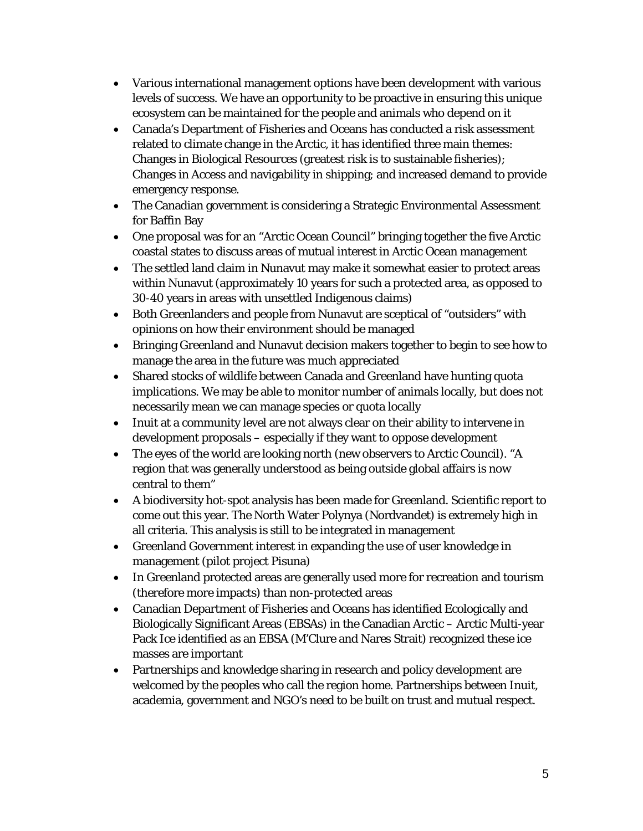- Various international management options have been development with various levels of success. We have an opportunity to be proactive in ensuring this unique ecosystem can be maintained for the people and animals who depend on it
- Canada's Department of Fisheries and Oceans has conducted a risk assessment related to climate change in the Arctic, it has identified three main themes: Changes in Biological Resources (greatest risk is to sustainable fisheries); Changes in Access and navigability in shipping; and increased demand to provide emergency response.
- The Canadian government is considering a Strategic Environmental Assessment for Baffin Bay
- One proposal was for an "Arctic Ocean Council" bringing together the five Arctic coastal states to discuss areas of mutual interest in Arctic Ocean management
- The settled land claim in Nunavut may make it somewhat easier to protect areas within Nunavut (approximately 10 years for such a protected area, as opposed to 30-40 years in areas with unsettled Indigenous claims)
- Both Greenlanders and people from Nunavut are sceptical of "outsiders" with opinions on how their environment should be managed
- Bringing Greenland and Nunavut decision makers together to begin to see how to manage the area in the future was much appreciated
- Shared stocks of wildlife between Canada and Greenland have hunting quota implications. We may be able to monitor number of animals locally, but does not necessarily mean we can manage species or quota locally
- Inuit at a community level are not always clear on their ability to intervene in development proposals – especially if they want to oppose development
- The eyes of the world are looking north (new observers to Arctic Council). "A region that was generally understood as being outside global affairs is now central to them"
- A biodiversity hot-spot analysis has been made for Greenland. Scientific report to come out this year. The North Water Polynya (Nordvandet) is extremely high in all criteria. This analysis is still to be integrated in management
- Greenland Government interest in expanding the use of user knowledge in management (pilot project Pisuna)
- In Greenland protected areas are generally used more for recreation and tourism (therefore more impacts) than non-protected areas
- Canadian Department of Fisheries and Oceans has identified Ecologically and Biologically Significant Areas (EBSAs) in the Canadian Arctic – Arctic Multi-year Pack Ice identified as an EBSA (M'Clure and Nares Strait) recognized these ice masses are important
- Partnerships and knowledge sharing in research and policy development are welcomed by the peoples who call the region home. Partnerships between Inuit, academia, government and NGO's need to be built on trust and mutual respect.